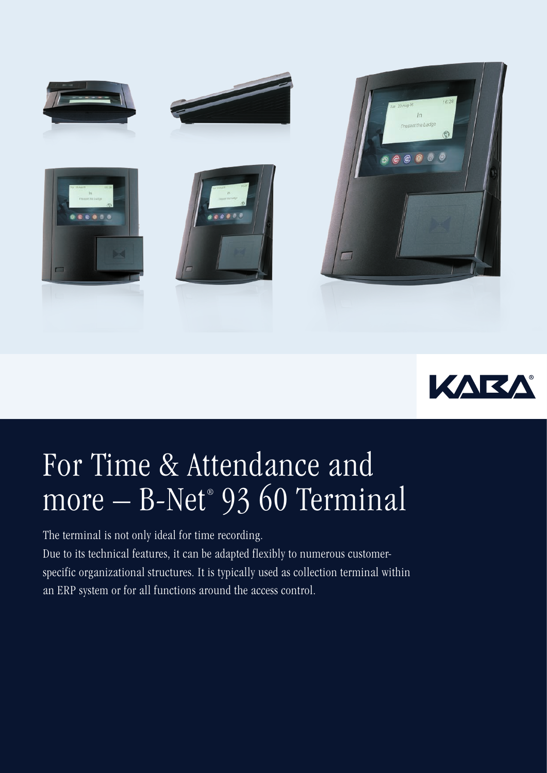



## For Time & Attendance and more – B-Net® 93 60 Terminal

The terminal is not only ideal for time recording. Due to its technical features, it can be adapted flexibly to numerous customerspecific organizational structures. It is typically used as collection terminal within an ERP system or for all functions around the access control.